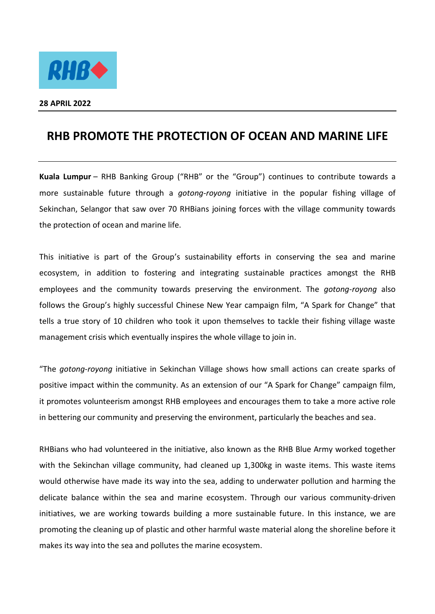

## **RHB PROMOTE THE PROTECTION OF OCEAN AND MARINE LIFE**

**Kuala Lumpur** – RHB Banking Group ("RHB" or the "Group") continues to contribute towards a more sustainable future through a *gotong-royong* initiative in the popular fishing village of Sekinchan, Selangor that saw over 70 RHBians joining forces with the village community towards the protection of ocean and marine life.

This initiative is part of the Group's sustainability efforts in conserving the sea and marine ecosystem, in addition to fostering and integrating sustainable practices amongst the RHB employees and the community towards preserving the environment. The *gotong-royong* also follows the Group's highly successful Chinese New Year campaign film, "A Spark for Change" that tells a true story of 10 children who took it upon themselves to tackle their fishing village waste management crisis which eventually inspires the whole village to join in.

"The *gotong-royong* initiative in Sekinchan Village shows how small actions can create sparks of positive impact within the community. As an extension of our "A Spark for Change" campaign film, it promotes volunteerism amongst RHB employees and encourages them to take a more active role in bettering our community and preserving the environment, particularly the beaches and sea.

RHBians who had volunteered in the initiative, also known as the RHB Blue Army worked together with the Sekinchan village community, had cleaned up 1,300kg in waste items. This waste items would otherwise have made its way into the sea, adding to underwater pollution and harming the delicate balance within the sea and marine ecosystem. Through our various community-driven initiatives, we are working towards building a more sustainable future. In this instance, we are promoting the cleaning up of plastic and other harmful waste material along the shoreline before it makes its way into the sea and pollutes the marine ecosystem.